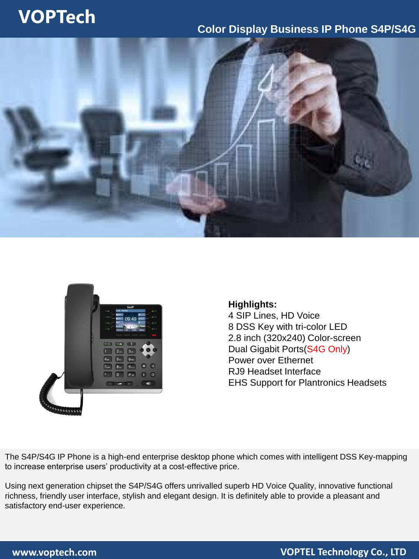## **VOPTech**

## **Color Display Business IP Phone S4P/S4G**





### **Highlights:** 4 SIP Lines, HD Voice 8 DSS Key with tri-color LED 2.8 inch (320x240) Color-screen Dual Gigabit Ports(S4G Only) Power over Ethernet RJ9 Headset Interface EHS Support for Plantronics Headsets

The S4P/S4G IP Phone is a high-end enterprise desktop phone which comes with intelligent DSS Key-mapping to increase enterprise users' productivity at a cost-effective price.

Using next generation chipset the S4P/S4G offers unrivalled superb HD Voice Quality, innovative functional richness, friendly user interface, stylish and elegant design. It is definitely able to provide a pleasant and satisfactory end-user experience.